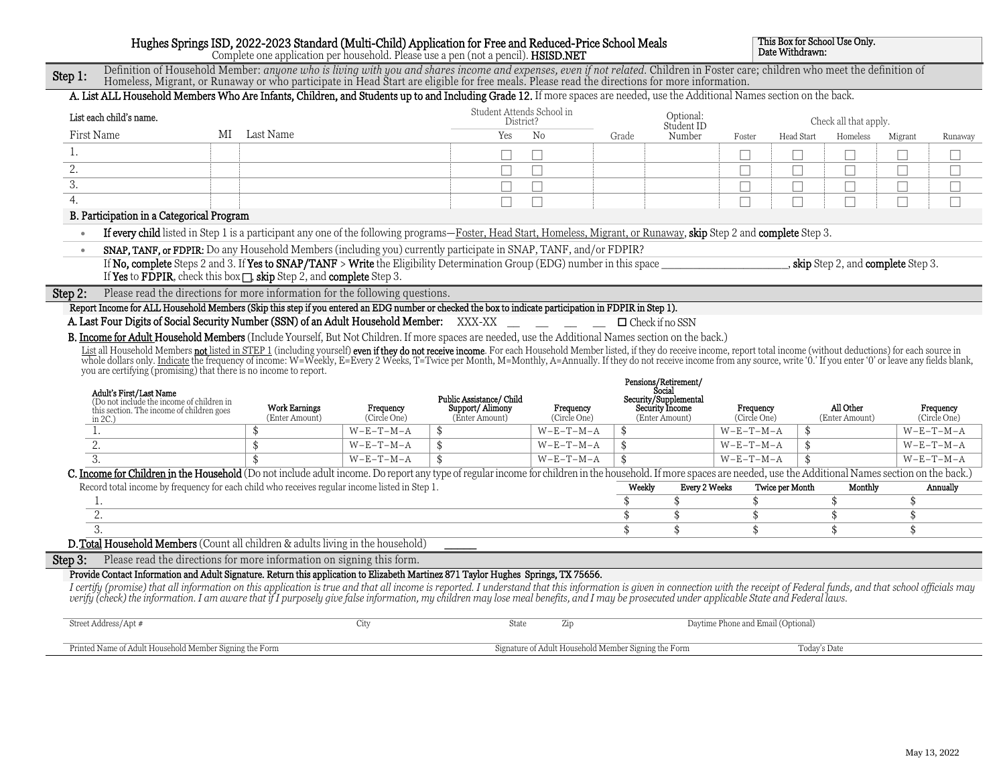## Hughes Springs ISD, 2022-2023 Standard (Multi-Child) Application for Free and Reduced-Price School Meals

This Box for School Use Only.

|           |                                                                                                                                                                                                                                                                                                                                 |                 |                                        |                           |                     | Complete one application per household. Please use a pen (not a pencil). <b>HSISD.NET</b> | Trughes Springs 1SD, 2022-2023 Standard (Multi-Child) Application for Free and Neutreu-Frice School Meals |        |                                        |                                    | Date Withdrawn: |                                      |         |                           |
|-----------|---------------------------------------------------------------------------------------------------------------------------------------------------------------------------------------------------------------------------------------------------------------------------------------------------------------------------------|-----------------|----------------------------------------|---------------------------|---------------------|-------------------------------------------------------------------------------------------|-----------------------------------------------------------------------------------------------------------|--------|----------------------------------------|------------------------------------|-----------------|--------------------------------------|---------|---------------------------|
| Step 1:   | Definition of Household Member: anyone who is living with you and shares income and expenses, even if not related. Children in Foster care; children who meet the definition of<br>Homeless, Migrant, or Runaway or who participate in Head Start are eligible for free meals. Please read the directions for more information. |                 |                                        |                           |                     |                                                                                           |                                                                                                           |        |                                        |                                    |                 |                                      |         |                           |
|           | A. List ALL Household Members Who Are Infants, Children, and Students up to and Including Grade 12. If more spaces are needed, use the Additional Names section on the back.                                                                                                                                                    |                 |                                        |                           |                     |                                                                                           |                                                                                                           |        |                                        |                                    |                 |                                      |         |                           |
|           | List each child's name.                                                                                                                                                                                                                                                                                                         |                 |                                        |                           |                     | Student Attends School in<br>District?                                                    |                                                                                                           |        | Optional:<br>Student ID                |                                    |                 | Check all that apply.                |         |                           |
|           | First Name                                                                                                                                                                                                                                                                                                                      | Last Name<br>MI |                                        |                           |                     | Yes                                                                                       | No                                                                                                        | Grade  | Number                                 | Foster                             | Head Start      | Homeless                             | Migrant | Runaway                   |
| 1.        |                                                                                                                                                                                                                                                                                                                                 |                 |                                        |                           |                     |                                                                                           |                                                                                                           |        |                                        |                                    |                 |                                      |         |                           |
| 2.        |                                                                                                                                                                                                                                                                                                                                 |                 |                                        |                           |                     |                                                                                           |                                                                                                           |        |                                        |                                    |                 | $\Box$                               |         | Г                         |
| 3.        |                                                                                                                                                                                                                                                                                                                                 |                 |                                        |                           |                     |                                                                                           |                                                                                                           |        |                                        | П                                  | $\Box$          | $\Box$                               | П       | П                         |
| 4.        |                                                                                                                                                                                                                                                                                                                                 |                 |                                        |                           |                     |                                                                                           |                                                                                                           |        |                                        |                                    |                 | $\Box$                               | П       | П                         |
|           | B. Participation in a Categorical Program                                                                                                                                                                                                                                                                                       |                 |                                        |                           |                     |                                                                                           |                                                                                                           |        |                                        |                                    |                 |                                      |         |                           |
| $\bullet$ | If every child listed in Step 1 is a participant any one of the following programs—Foster, Head Start, Homeless, Migrant, or Runaway, skip Step 2 and complete Step 3.                                                                                                                                                          |                 |                                        |                           |                     |                                                                                           |                                                                                                           |        |                                        |                                    |                 |                                      |         |                           |
| $\bullet$ | SNAP, TANF, or FDPIR: Do any Household Members (including you) currently participate in SNAP, TANF, and/or FDPIR?                                                                                                                                                                                                               |                 |                                        |                           |                     |                                                                                           |                                                                                                           |        |                                        |                                    |                 |                                      |         |                           |
|           | If No, complete Steps 2 and 3. If Yes to SNAP/TANF > Write the Eligibility Determination Group (EDG) number in this space<br>If Yes to FDPIR, check this box $\Box$ , skip Step 2, and complete Step 3.                                                                                                                         |                 |                                        |                           |                     |                                                                                           |                                                                                                           |        |                                        |                                    |                 | _, skip Step 2, and complete Step 3. |         |                           |
| Step 2:   | Please read the directions for more information for the following questions.                                                                                                                                                                                                                                                    |                 |                                        |                           |                     |                                                                                           |                                                                                                           |        |                                        |                                    |                 |                                      |         |                           |
|           | Report Income for ALL Household Members (Skip this step if you entered an EDG number or checked the box to indicate participation in FDPIR in Step 1).                                                                                                                                                                          |                 |                                        |                           |                     |                                                                                           |                                                                                                           |        |                                        |                                    |                 |                                      |         |                           |
|           | A. Last Four Digits of Social Security Number (SSN) of an Adult Household Member: XXX-XX __ _ _ _ _                                                                                                                                                                                                                             |                 |                                        |                           |                     |                                                                                           |                                                                                                           |        | $\Box$ Check if no SSN                 |                                    |                 |                                      |         |                           |
|           | B. Income for Adult Household Members (Include Yourself, But Not Children. If more spaces are needed, use the Additional Names section on the back.)                                                                                                                                                                            |                 |                                        |                           |                     |                                                                                           |                                                                                                           |        |                                        |                                    |                 |                                      |         |                           |
|           | List all Household Members not listed in STEP 1 (including yourself) even if they do not receive income. For each Household Member listed, if they do receive income, report total income (without deductions) for each source                                                                                                  |                 |                                        |                           |                     |                                                                                           |                                                                                                           |        |                                        |                                    |                 |                                      |         |                           |
|           |                                                                                                                                                                                                                                                                                                                                 |                 |                                        |                           |                     |                                                                                           |                                                                                                           |        |                                        |                                    |                 |                                      |         |                           |
|           |                                                                                                                                                                                                                                                                                                                                 |                 |                                        |                           |                     |                                                                                           |                                                                                                           |        |                                        |                                    |                 |                                      |         |                           |
|           | you are certifying (promising) that there is no income to report.                                                                                                                                                                                                                                                               |                 |                                        |                           |                     |                                                                                           |                                                                                                           |        | Pensions/Retirement/                   |                                    |                 |                                      |         |                           |
|           | Adult's First/Last Name<br>(Do not include the income of children in                                                                                                                                                                                                                                                            |                 |                                        |                           |                     | Public Assistance/ Child                                                                  |                                                                                                           |        | <b>Social</b><br>Security/Supplemental |                                    |                 |                                      |         |                           |
|           | this section. The income of children goes                                                                                                                                                                                                                                                                                       |                 | <b>Work Earnings</b><br>(Enter Amount) | Frequency<br>(Circle One) |                     | Support/Alimony<br>(Enter Amount)                                                         | Frequency<br>(Circle One)                                                                                 |        | Security Income<br>(Enter Amount)      | Frequency<br>(Circle One)          |                 | All Other<br>(Enter Amount)          |         | Frequency<br>(Circle One) |
|           | in $2C.$ )<br>1.                                                                                                                                                                                                                                                                                                                | \$              |                                        | $W-E-T-M-A$               | \$                  |                                                                                           | $W-E-T-M-A$                                                                                               | \$     |                                        | $W-E-T-M-A$                        | \$              |                                      |         | $W-E-T-M-A$               |
|           | 2.                                                                                                                                                                                                                                                                                                                              | \$              |                                        | $W-E-T-M-A$               | \$                  |                                                                                           | $W-E-T-M-A$                                                                                               | \$     |                                        | $W-E-T-M-A$                        |                 |                                      |         | $W-E-T-M-A$               |
|           | 3.                                                                                                                                                                                                                                                                                                                              | \$              |                                        | $W-E-T-M-A$               | $\hat{\mathcal{S}}$ |                                                                                           | $W-E-T-M-A$                                                                                               | \$     |                                        | $W-E-T-M-A$                        |                 |                                      |         | $W-E-T-M-A$               |
|           | C. Income for Children in the Household (Do not include adult income. Do report any type of regular income for children in the household. If more spaces are needed, use the Additional Names section on the back.)                                                                                                             |                 |                                        |                           |                     |                                                                                           |                                                                                                           |        |                                        |                                    |                 |                                      |         |                           |
|           | Record total income by frequency for each child who receives regular income listed in Step 1.                                                                                                                                                                                                                                   |                 |                                        |                           |                     |                                                                                           |                                                                                                           | Weekly | Every 2 Weeks                          |                                    | Twice per Month | Monthly                              |         | Annually                  |
|           | 1.                                                                                                                                                                                                                                                                                                                              |                 |                                        |                           |                     |                                                                                           |                                                                                                           | \$     | \$                                     | \$                                 |                 | \$                                   | \$      |                           |
|           | $\overline{2}$ .                                                                                                                                                                                                                                                                                                                |                 |                                        |                           |                     |                                                                                           |                                                                                                           | \$     | \$                                     | \$                                 |                 | \$                                   | \$      |                           |
|           | $\overline{3}$                                                                                                                                                                                                                                                                                                                  |                 |                                        |                           |                     |                                                                                           |                                                                                                           | \$     | \$                                     | \$                                 |                 | \$                                   | \$      |                           |
|           | D. Total Household Members (Count all children & adults living in the household)                                                                                                                                                                                                                                                |                 |                                        |                           |                     |                                                                                           |                                                                                                           |        |                                        |                                    |                 |                                      |         |                           |
|           | Please read the directions for more information on signing this form.                                                                                                                                                                                                                                                           |                 |                                        |                           |                     |                                                                                           |                                                                                                           |        |                                        |                                    |                 |                                      |         |                           |
|           | Provide Contact Information and Adult Signature. Return this application to Elizabeth Martinez 871 Taylor Hughes Springs, TX 75656.                                                                                                                                                                                             |                 |                                        |                           |                     |                                                                                           |                                                                                                           |        |                                        |                                    |                 |                                      |         |                           |
|           | I certify (promise) that all information on this application is true and that all income is reported. I understand that this information is given in connection with the receipt of Federal funds, and that school officials m                                                                                                  |                 |                                        |                           |                     |                                                                                           |                                                                                                           |        |                                        |                                    |                 |                                      |         |                           |
|           | Street Address/Apt #                                                                                                                                                                                                                                                                                                            |                 |                                        | City                      |                     | State                                                                                     | Zip                                                                                                       |        |                                        | Daytime Phone and Email (Optional) |                 |                                      |         |                           |
|           | Printed Name of Adult Household Member Signing the Form                                                                                                                                                                                                                                                                         |                 |                                        |                           |                     |                                                                                           | Signature of Adult Household Member Signing the Form                                                      |        |                                        |                                    | Today's Date    |                                      |         |                           |
| Step 3:   |                                                                                                                                                                                                                                                                                                                                 |                 |                                        |                           |                     |                                                                                           |                                                                                                           |        |                                        |                                    |                 |                                      |         |                           |